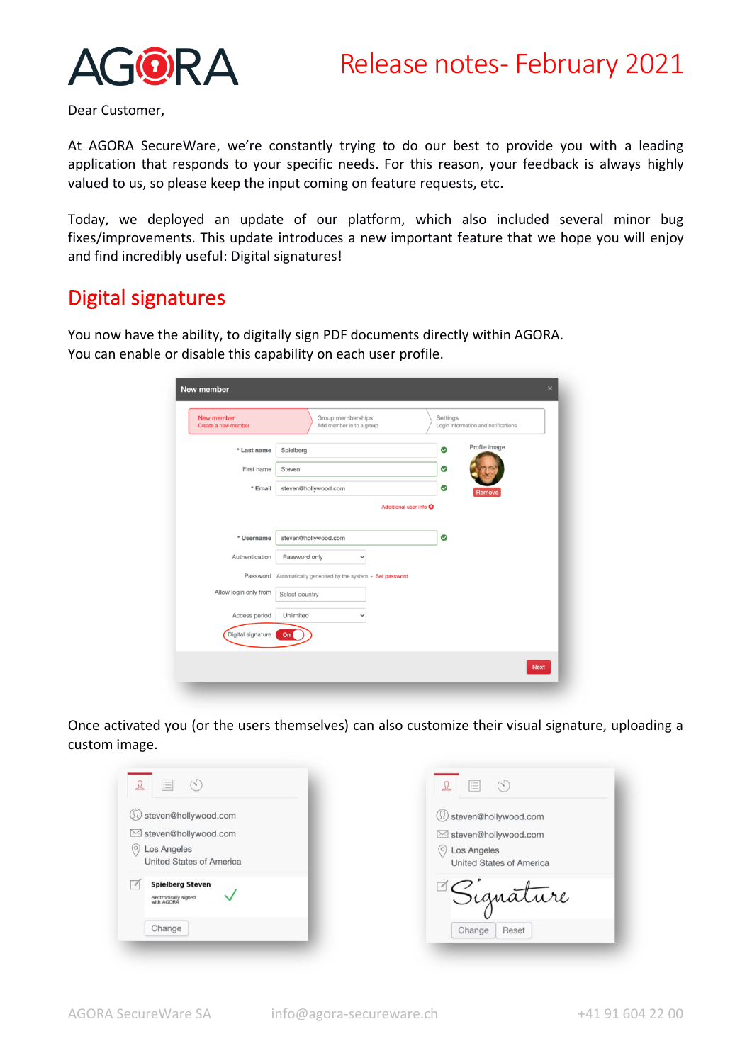

Dear Customer,

At AGORA SecureWare, we're constantly trying to do our best to provide you with a leading application that responds to your specific needs. For this reason, your feedback is always highly valued to us, so please keep the input coming on feature requests, etc.

Today, we deployed an update of our platform, which also included several minor bug fixes/improvements. This update introduces a new important feature that we hope you will enjoy and find incredibly useful: Digital signatures!

## Digital signatures

You now have the ability, to digitally sign PDF documents directly within AGORA. You can enable or disable this capability on each user profile.

| New member<br>Create a new member | Group memberships<br>Add member in to a group                 | Settings | Login information and notifications |  |
|-----------------------------------|---------------------------------------------------------------|----------|-------------------------------------|--|
| * Last name                       | Spielberg                                                     | ✅        | Profile image                       |  |
| First name                        | Steven                                                        | ☺        |                                     |  |
| * Email                           | steven@hollywood.com                                          | ✅        | Remove                              |  |
|                                   | Additional user info O                                        |          |                                     |  |
| * Username                        | steven@hollywood.com                                          | ❤        |                                     |  |
| Authentication                    | Password only<br>$\checkmark$                                 |          |                                     |  |
|                                   | Password Automatically generated by the system - Set password |          |                                     |  |
| Allow login only from             | Select country                                                |          |                                     |  |
| Access period                     | Unlimited<br>$\checkmark$                                     |          |                                     |  |
| Digital signature                 | On                                                            |          |                                     |  |

Once activated you (or the users themselves) can also customize their visual signature, uploading a custom image.

| G,<br>這<br>$\sqrt{2}$                                          | 三<br>$(\cdot)$                                            |
|----------------------------------------------------------------|-----------------------------------------------------------|
| steven@hollywood.com                                           | (1) steven@hollywood.com                                  |
| ⊠ steven@hollywood.com                                         | ⊠ steven@hollywood.com                                    |
| Los Angeles<br>$^{(\circ)}$<br>United States of America        | Los Angeles<br>$\circ$<br><b>United States of America</b> |
| <b>Spielberg Steven</b><br>electronically signed<br>with AGORA | Signature                                                 |
| Change                                                         | Change<br>Reset                                           |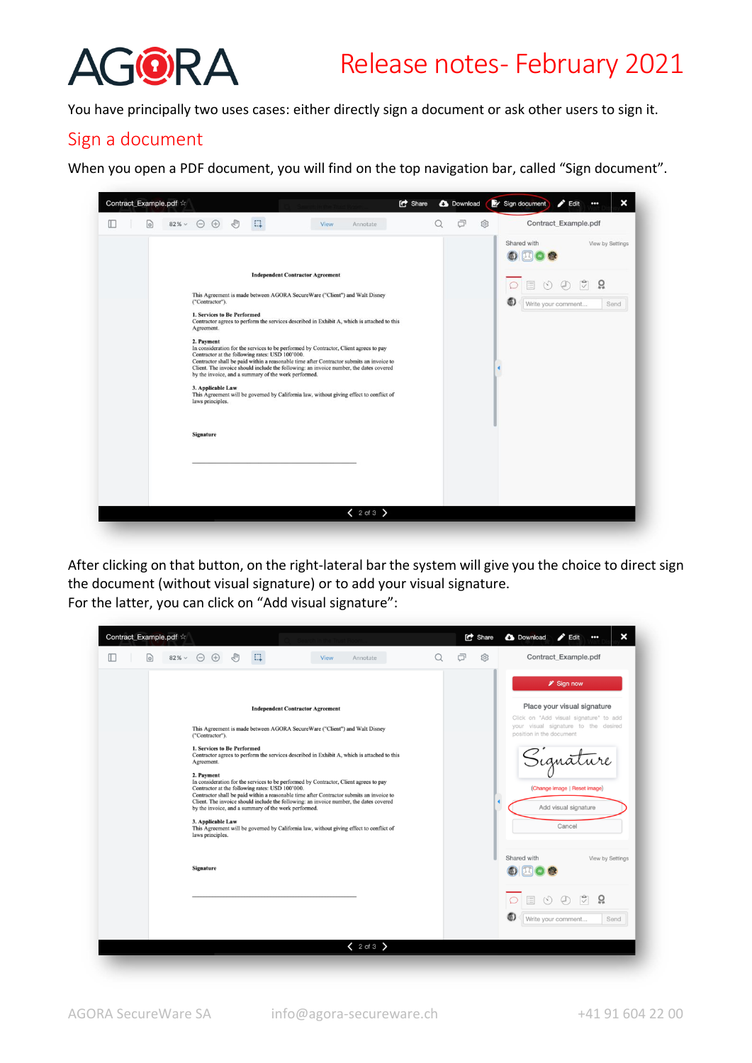

You have principally two uses cases: either directly sign a document or ask other users to sign it.

### Sign a document

When you open a PDF document, you will find on the top navigation bar, called "Sign document".

| Contract_Example.pdf <<br>$82\%$ $\vee$<br>Ш | $\Theta$<br>$(+)$                                                                                                                                                                          | E.                                                                                              | <b>View</b>                                                                                                                                                                                                                                                                                                                                                                                                                                                                                                                                                     | <b>C</b> Share | <b>3</b> Download<br>σ<br>ශ | Sign document<br>$\blacktriangleright$ Edit<br>Contract_Example.pdf             | ×<br>000                            |
|----------------------------------------------|--------------------------------------------------------------------------------------------------------------------------------------------------------------------------------------------|-------------------------------------------------------------------------------------------------|-----------------------------------------------------------------------------------------------------------------------------------------------------------------------------------------------------------------------------------------------------------------------------------------------------------------------------------------------------------------------------------------------------------------------------------------------------------------------------------------------------------------------------------------------------------------|----------------|-----------------------------|---------------------------------------------------------------------------------|-------------------------------------|
| o)                                           | ("Contractor").<br><b>1. Services to Be Performed</b><br>Agreement.<br>2. Payment<br>Contractor at the following rates: USD 100'000.<br>3. Applicable Law<br>laws principles.<br>Signature | <b>Independent Contractor Agreement</b><br>by the invoice, and a summary of the work performed. | Annotate<br>This Agreement is made between AGORA SecureWare ("Client") and Walt Disney<br>Contractor agrees to perform the services described in Exhibit A, which is attached to this<br>In consideration for the services to be performed by Contractor, Client agrees to pay<br>Contractor shall be paid within a reasonable time after Contractor submits an invoice to<br>Client. The invoice should include the following: an invoice number, the dates covered<br>This Agreement will be governed by California law, without giving effect to conflict of |                |                             | Shared with<br>$\left(\frac{1}{2}\right)$<br>僵<br>G)<br>Write your comment<br>٠ | View by Settings<br>ö,<br>岗<br>Send |
|                                              |                                                                                                                                                                                            |                                                                                                 | $2$ of 3 $\rightarrow$                                                                                                                                                                                                                                                                                                                                                                                                                                                                                                                                          |                |                             |                                                                                 |                                     |

After clicking on that button, on the right-lateral bar the system will give you the choice to direct sign the document (without visual signature) or to add your visual signature. For the latter, you can click on "Add visual signature":

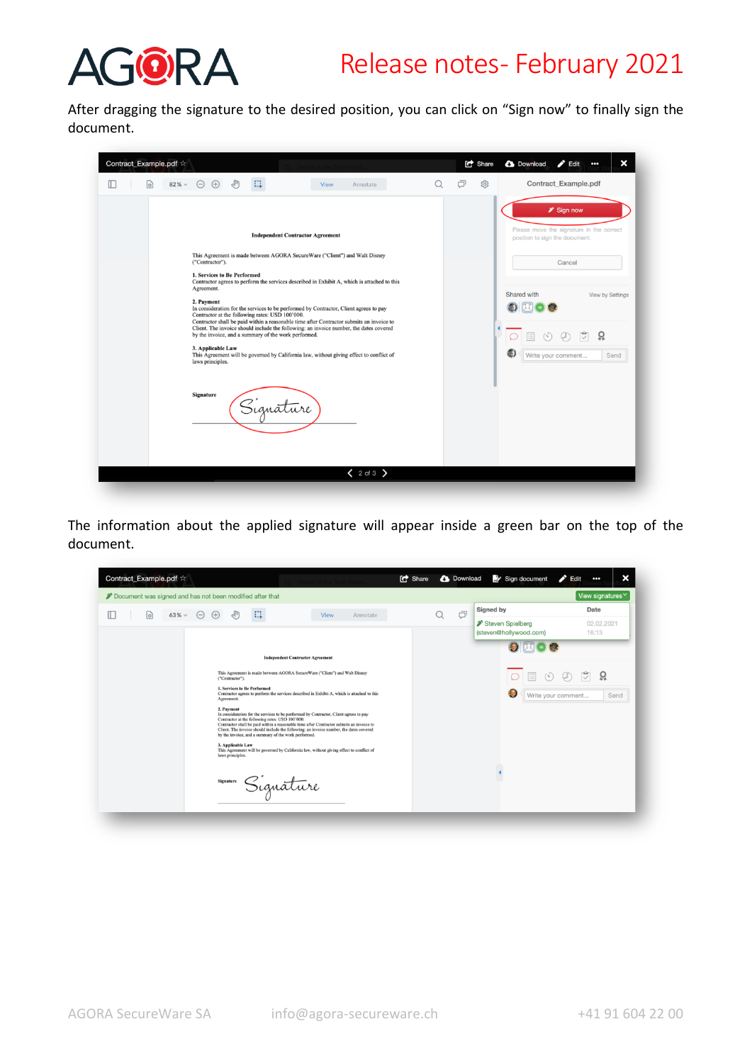

# Release notes- February 2021

After dragging the signature to the desired position, you can click on "Sign now" to finally sign the document.

| Contract_Example.pdf $\approx$ |                                                                                          |                                                      |                                                                                                                                                                                                                                                                                                                                                                        |   | <b>C</b> Share | ×<br><b>3</b> Download<br>$\blacktriangleright$ Edit<br>$\bullet\bullet\bullet$                                         |
|--------------------------------|------------------------------------------------------------------------------------------|------------------------------------------------------|------------------------------------------------------------------------------------------------------------------------------------------------------------------------------------------------------------------------------------------------------------------------------------------------------------------------------------------------------------------------|---|----------------|-------------------------------------------------------------------------------------------------------------------------|
| $82\% \sim$<br>o)              | $\Theta$<br>$\bigoplus$                                                                  | Ω                                                    | <b>View</b><br>Annotate                                                                                                                                                                                                                                                                                                                                                | Q | a<br>ශ         | Contract_Example.pdf<br><sup>2</sup> Sign now                                                                           |
|                                | ("Contractor").<br>1. Services to Be Performed<br>Agreement.<br>2. Payment               | <b>Independent Contractor Agreement</b>              | This Agreement is made between AGORA SecureWare ("Client") and Walt Disney<br>Contractor agrees to perform the services described in Exhibit A, which is attached to this                                                                                                                                                                                              |   |                | Please move the signature in the correct<br>position to sign the document.<br>Cancel<br>Shared with<br>View by Settings |
|                                | Contractor at the following rates: USD 100'000.<br>3. Applicable Law<br>laws principles. | by the invoice, and a summary of the work performed. | In consideration for the services to be performed by Contractor, Client agrees to pay<br>Contractor shall be paid within a reasonable time after Contractor submits an invoice to<br>Client. The invoice should include the following: an invoice number, the dates covered<br>This Agreement will be governed by California law, without giving effect to conflict of |   |                | ö<br>Write your comment<br>Send                                                                                         |
|                                | Signature                                                                                | Signature                                            |                                                                                                                                                                                                                                                                                                                                                                        |   |                |                                                                                                                         |
|                                |                                                                                          |                                                      | $2$ of 3 $\geq$                                                                                                                                                                                                                                                                                                                                                        |   |                |                                                                                                                         |

The information about the applied signature will appear inside a green bar on the top of the document.

|                                             | Document was signed and has not been modified after that |                                                                                                                                                                                                                                                                                                                                                                                        |             |          |   | View signatures <sup><math>\vee</math></sup> |                                            |                     |
|---------------------------------------------|----------------------------------------------------------|----------------------------------------------------------------------------------------------------------------------------------------------------------------------------------------------------------------------------------------------------------------------------------------------------------------------------------------------------------------------------------------|-------------|----------|---|----------------------------------------------|--------------------------------------------|---------------------|
| Œ<br>$63\% \vee$<br>$\lbrack \circ \rbrack$ | $\ominus$<br>$(+)$                                       | Ш                                                                                                                                                                                                                                                                                                                                                                                      | <b>View</b> | Annotate | a | Φ                                            | Signed by                                  | Date                |
|                                             |                                                          |                                                                                                                                                                                                                                                                                                                                                                                        |             |          |   |                                              | Steven Spielberg<br>(steven@hollywood.com) | 02.02.2021<br>16:13 |
|                                             |                                                          | <b>Independent Contractor Agreement</b>                                                                                                                                                                                                                                                                                                                                                |             |          |   |                                              | $\bullet$                                  |                     |
|                                             | ("Contractor").                                          | This Agreement is made between AGORA SecureWare ("Client") and Walt Disney                                                                                                                                                                                                                                                                                                             |             |          |   |                                              | 三                                          | 0002                |
|                                             | 1. Services to Be Performed<br>Agreement.                | Contractor agrees to perform the services described in Exhibit A, which is attached to this                                                                                                                                                                                                                                                                                            |             |          |   |                                              | 15<br>Write your comment                   | Send                |
|                                             | 2. Payment                                               | In consideration for the services to be performed by Contractor, Client agrees to pay<br>Contractor at the following rates: USD 100'000.<br>Contractor shall be paid within a reasonable time after Contractor submits an invoice to<br>Client. The invoice should include the following: an invoice number, the dates covered<br>by the invoice, and a summary of the work performed. |             |          |   |                                              |                                            |                     |
|                                             | 3. Applicable Law<br>laws principles.                    | This Agreement will be governed by California law, without giving effect to conflict of                                                                                                                                                                                                                                                                                                |             |          |   |                                              |                                            |                     |
|                                             |                                                          | signature Signature                                                                                                                                                                                                                                                                                                                                                                    |             |          |   |                                              |                                            |                     |